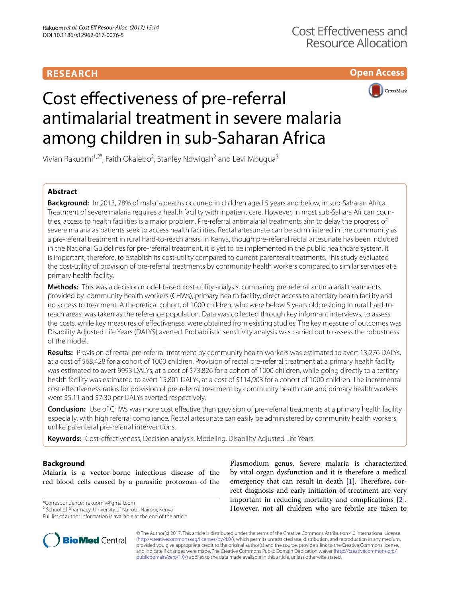# **RESEARCH**

**Open Access**



# Cost effectiveness of pre-referral antimalarial treatment in severe malaria among children in sub-Saharan Africa

Vivian Rakuomi<sup>1,2\*</sup>, Faith Okalebo<sup>2</sup>, Stanley Ndwigah<sup>2</sup> and Levi Mbugua<sup>3</sup>

# **Abstract**

**Background:** In 2013, 78% of malaria deaths occurred in children aged 5 years and below, in sub-Saharan Africa. Treatment of severe malaria requires a health facility with inpatient care. However, in most sub-Sahara African countries, access to health facilities is a major problem. Pre-referral antimalarial treatments aim to delay the progress of severe malaria as patients seek to access health facilities. Rectal artesunate can be administered in the community as a pre-referral treatment in rural hard-to-reach areas. In Kenya, though pre-referral rectal artesunate has been included in the National Guidelines for pre-referral treatment, it is yet to be implemented in the public healthcare system. It is important, therefore, to establish its cost-utility compared to current parenteral treatments. This study evaluated the cost-utility of provision of pre-referral treatments by community health workers compared to similar services at a primary health facility.

**Methods:** This was a decision model-based cost-utility analysis, comparing pre-referral antimalarial treatments provided by: community health workers (CHWs), primary health facility, direct access to a tertiary health facility and no access to treatment. A theoretical cohort, of 1000 children, who were below 5 years old; residing in rural hard-toreach areas, was taken as the reference population. Data was collected through key informant interviews, to assess the costs, while key measures of efectiveness, were obtained from existing studies. The key measure of outcomes was Disability Adjusted Life Years (DALYS) averted. Probabilistic sensitivity analysis was carried out to assess the robustness of the model.

**Results:** Provision of rectal pre-referral treatment by community health workers was estimated to avert 13,276 DALYs, at a cost of \$68,428 for a cohort of 1000 children. Provision of rectal pre-referral treatment at a primary health facility was estimated to avert 9993 DALYs, at a cost of \$73,826 for a cohort of 1000 children, while going directly to a tertiary health facility was estimated to avert 15,801 DALYs, at a cost of \$114,903 for a cohort of 1000 children. The incremental cost efectiveness ratios for provision of pre-referral treatment by community health care and primary health workers were \$5.11 and \$7.30 per DALYs averted respectively.

**Conclusion:** Use of CHWs was more cost effective than provision of pre-referral treatments at a primary health facility especially, with high referral compliance. Rectal artesunate can easily be administered by community health workers, unlike parenteral pre-referral interventions.

**Keywords:** Cost-efectiveness, Decision analysis, Modeling, Disability Adjusted Life Years

# **Background**

Malaria is a vector-borne infectious disease of the red blood cells caused by a parasitic protozoan of the

\*Correspondence: rakuomiv@gmail.com

<sup>2</sup> School of Pharmacy, University of Nairobi, Nairobi, Kenya





Full list of author information is available at the end of the article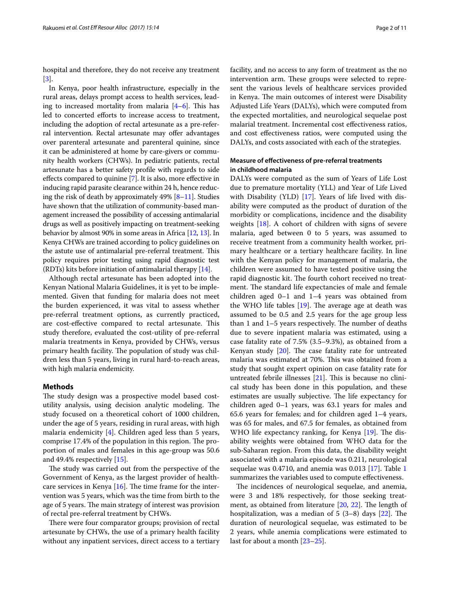hospital and therefore, they do not receive any treatment [[3\]](#page-9-2).

In Kenya, poor health infrastructure, especially in the rural areas, delays prompt access to health services, leading to increased mortality from malaria  $[4-6]$  $[4-6]$  $[4-6]$ . This has led to concerted efforts to increase access to treatment, including the adoption of rectal artesunate as a pre-referral intervention. Rectal artesunate may offer advantages over parenteral artesunate and parenteral quinine, since it can be administered at home by care-givers or community health workers (CHWs). In pediatric patients, rectal artesunate has a better safety profle with regards to side effects compared to quinine [[7\]](#page-9-5). It is also, more effective in inducing rapid parasite clearance within 24 h, hence reducing the risk of death by approximately 49% [\[8](#page-9-6)[–11\]](#page-9-7). Studies have shown that the utilization of community-based management increased the possibility of accessing antimalarial drugs as well as positively impacting on treatment-seeking behavior by almost 90% in some areas in Africa [[12](#page-9-8), [13](#page-9-9)]. In Kenya CHWs are trained according to policy guidelines on the astute use of antimalarial pre-referral treatment. This policy requires prior testing using rapid diagnostic test (RDTs) kits before initiation of antimalarial therapy [\[14\]](#page-9-10).

Although rectal artesunate has been adopted into the Kenyan National Malaria Guidelines, it is yet to be implemented. Given that funding for malaria does not meet the burden experienced, it was vital to assess whether pre-referral treatment options, as currently practiced, are cost-effective compared to rectal artesunate. This study therefore, evaluated the cost-utility of pre-referral malaria treatments in Kenya, provided by CHWs, versus primary health facility. The population of study was children less than 5 years, living in rural hard-to-reach areas, with high malaria endemicity.

# **Methods**

The study design was a prospective model based costutility analysis, using decision analytic modeling. The study focused on a theoretical cohort of 1000 children, under the age of 5 years, residing in rural areas, with high malaria endemicity [[4\]](#page-9-3). Children aged less than 5 years, comprise 17.4% of the population in this region. The proportion of males and females in this age-group was 50.6 and 49.4% respectively [\[15](#page-9-11)].

The study was carried out from the perspective of the Government of Kenya, as the largest provider of healthcare services in Kenya  $[16]$  $[16]$  $[16]$ . The time frame for the intervention was 5 years, which was the time from birth to the age of 5 years. The main strategy of interest was provision of rectal pre-referral treatment by CHWs.

There were four comparator groups; provision of rectal artesunate by CHWs, the use of a primary health facility without any inpatient services, direct access to a tertiary facility, and no access to any form of treatment as the no intervention arm. These groups were selected to represent the various levels of healthcare services provided in Kenya. The main outcomes of interest were Disability Adjusted Life Years (DALYs), which were computed from the expected mortalities, and neurological sequelae post malarial treatment. Incremental cost efectiveness ratios, and cost efectiveness ratios, were computed using the DALYs, and costs associated with each of the strategies.

# **Measure of efectiveness of pre‑referral treatments in childhood malaria**

DALYs were computed as the sum of Years of Life Lost due to premature mortality (YLL) and Year of Life Lived with Disability (YLD) [[17\]](#page-9-13). Years of life lived with disability were computed as the product of duration of the morbidity or complications, incidence and the disability weights [\[18\]](#page-9-14). A cohort of children with signs of severe malaria, aged between 0 to 5 years, was assumed to receive treatment from a community health worker, primary healthcare or a tertiary healthcare facility. In line with the Kenyan policy for management of malaria, the children were assumed to have tested positive using the rapid diagnostic kit. The fourth cohort received no treatment. The standard life expectancies of male and female children aged 0–1 and 1–4 years was obtained from the WHO life tables  $[19]$  $[19]$ . The average age at death was assumed to be 0.5 and 2.5 years for the age group less than 1 and  $1-5$  years respectively. The number of deaths due to severe inpatient malaria was estimated, using a case fatality rate of 7.5% (3.5–9.3%), as obtained from a Kenyan study  $[20]$  $[20]$ . The case fatality rate for untreated malaria was estimated at 70%. This was obtained from a study that sought expert opinion on case fatality rate for untreated febrile illnesses [[21](#page-9-17)]. This is because no clinical study has been done in this population, and these estimates are usually subjective. The life expectancy for children aged 0–1 years, was 63.1 years for males and 65.6 years for females; and for children aged 1–4 years, was 65 for males, and 67.5 for females, as obtained from WHO life expectancy ranking, for Kenya  $[19]$ . The disability weights were obtained from WHO data for the sub-Saharan region. From this data, the disability weight associated with a malaria episode was 0.211, neurological sequelae was 0.4710, and anemia was 0.013 [\[17](#page-9-13)]. Table [1](#page-2-0) summarizes the variables used to compute effectiveness.

The incidences of neurological sequelae, and anemia, were 3 and 18% respectively, for those seeking treatment, as obtained from literature  $[20, 22]$  $[20, 22]$  $[20, 22]$  $[20, 22]$ . The length of hospitalization, was a median of  $5$  (3-8) days [\[22](#page-9-18)]. The duration of neurological sequelae, was estimated to be 2 years, while anemia complications were estimated to last for about a month [[23](#page-9-19)[–25](#page-9-20)].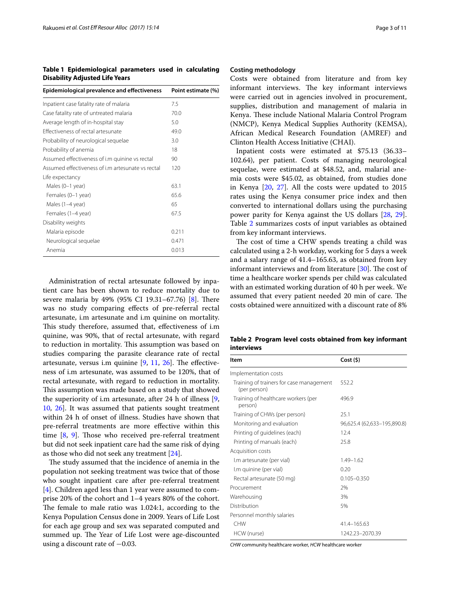<span id="page-2-0"></span>**Table 1 Epidemiological parameters used in calculating Disability Adjusted Life Years**

| Epidemiological prevalence and effectiveness      | Point estimate (%) |  |  |
|---------------------------------------------------|--------------------|--|--|
| Inpatient case fatality rate of malaria           | 7.5                |  |  |
| Case fatality rate of untreated malaria           | 70.0               |  |  |
| Average length of in-hospital stay                | 5.0                |  |  |
| Effectiveness of rectal artesunate                | 49.0               |  |  |
| Probability of neurological sequelae              | 3.0                |  |  |
| Probability of anemia                             | 18                 |  |  |
| Assumed effectiveness of i.m quinine vs rectal    | 90                 |  |  |
| Assumed effectiveness of i.m artesunate vs rectal | 120                |  |  |
| Life expectancy                                   |                    |  |  |
| Males (0-1 year)                                  | 63.1               |  |  |
| Females (0-1 year)                                | 65.6               |  |  |
| Males (1-4 year)                                  | 65                 |  |  |
| Females (1-4 year)                                | 67.5               |  |  |
| Disability weights                                |                    |  |  |
| Malaria episode                                   | 0.211              |  |  |
| Neurological sequelae                             | 0.471              |  |  |
| Anemia                                            | 0.013              |  |  |

Administration of rectal artesunate followed by inpatient care has been shown to reduce mortality due to severe malaria by 49% (95% CI 19.31–67.76) [[8\]](#page-9-6). There was no study comparing efects of pre-referral rectal artesunate, i.m artesunate and i.m quinine on mortality. This study therefore, assumed that, effectiveness of i.m quinine, was 90%, that of rectal artesunate, with regard to reduction in mortality. This assumption was based on studies comparing the parasite clearance rate of rectal artesunate, versus i.m quinine  $[9, 11, 26]$  $[9, 11, 26]$  $[9, 11, 26]$  $[9, 11, 26]$  $[9, 11, 26]$  $[9, 11, 26]$ . The effectiveness of i.m artesunate, was assumed to be 120%, that of rectal artesunate, with regard to reduction in mortality. This assumption was made based on a study that showed the superiority of i.m artesunate, after 24 h of illness [\[9](#page-9-21), [10,](#page-9-23) [26\]](#page-9-22). It was assumed that patients sought treatment within 24 h of onset of illness. Studies have shown that pre-referral treatments are more efective within this time  $[8, 9]$  $[8, 9]$  $[8, 9]$  $[8, 9]$  $[8, 9]$ . Those who received pre-referral treatment but did not seek inpatient care had the same risk of dying as those who did not seek any treatment [[24\]](#page-9-24).

The study assumed that the incidence of anemia in the population not seeking treatment was twice that of those who sought inpatient care after pre-referral treatment [[4\]](#page-9-3). Children aged less than 1 year were assumed to comprise 20% of the cohort and 1–4 years 80% of the cohort. The female to male ratio was  $1.024:1$ , according to the Kenya Population Census done in 2009. Years of Life Lost for each age group and sex was separated computed and summed up. The Year of Life Lost were age-discounted using a discount rate of −0.03.

# **Costing methodology**

Costs were obtained from literature and from key informant interviews. The key informant interviews were carried out in agencies involved in procurement, supplies, distribution and management of malaria in Kenya. These include National Malaria Control Program (NMCP), Kenya Medical Supplies Authority (KEMSA), African Medical Research Foundation (AMREF) and Clinton Health Access Initiative (CHAI).

Inpatient costs were estimated at \$75.13 (36.33– 102.64), per patient. Costs of managing neurological sequelae, were estimated at \$48.52, and, malarial anemia costs were \$45.02, as obtained, from studies done in Kenya [\[20,](#page-9-16) [27](#page-9-25)]. All the costs were updated to 2015 rates using the Kenya consumer price index and then converted to international dollars using the purchasing power parity for Kenya against the US dollars [\[28](#page-9-26), [29](#page-9-27)]. Table [2](#page-2-1) summarizes costs of input variables as obtained from key informant interviews.

The cost of time a CHW spends treating a child was calculated using a 2-h workday, working for 5 days a week and a salary range of 41.4–165.63, as obtained from key informant interviews and from literature  $[30]$  $[30]$ . The cost of time a healthcare worker spends per child was calculated with an estimated working duration of 40 h per week. We assumed that every patient needed 20 min of care. The costs obtained were annuitized with a discount rate of 8%

<span id="page-2-1"></span>**Table 2 Program level costs obtained from key informant interviews**

| Item                                                     | Cost(5)                     |  |  |
|----------------------------------------------------------|-----------------------------|--|--|
| Implementation costs                                     |                             |  |  |
| Training of trainers for case management<br>(per person) | 552.2                       |  |  |
| Training of healthcare workers (per<br>person)           | 496.9                       |  |  |
| Training of CHWs (per person)                            | 25.1                        |  |  |
| Monitoring and evaluation                                | 96,625.4 (62,633-195,890.8) |  |  |
| Printing of guidelines (each)                            | 12.4                        |  |  |
| Printing of manuals (each)                               | 25.8                        |  |  |
| Acquisition costs                                        |                             |  |  |
| I.m artesunate (per vial)                                | $1.49 - 1.62$               |  |  |
| l.m quinine (per vial)                                   | 0.20                        |  |  |
| Rectal artesunate (50 mg)                                | $0.105 - 0.350$             |  |  |
| Procurement                                              | 7%                          |  |  |
| Warehousing                                              | 3%                          |  |  |
| Distribution                                             | 5%                          |  |  |
| Personnel monthly salaries                               |                             |  |  |
| <b>CHW</b>                                               | 41.4-165.63                 |  |  |
| HCW (nurse)                                              | 1242.23-2070.39             |  |  |

*CHW* community healthcare worker, *HCW* healthcare worker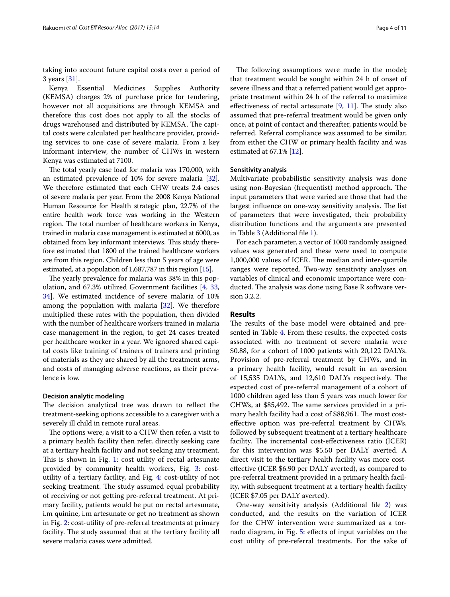taking into account future capital costs over a period of 3 years [\[31](#page-9-29)].

Kenya Essential Medicines Supplies Authority (KEMSA) charges 2% of purchase price for tendering, however not all acquisitions are through KEMSA and therefore this cost does not apply to all the stocks of drugs warehoused and distributed by KEMSA. The capital costs were calculated per healthcare provider, providing services to one case of severe malaria. From a key informant interview, the number of CHWs in western Kenya was estimated at 7100.

The total yearly case load for malaria was 170,000, with an estimated prevalence of 10% for severe malaria [[32](#page-9-30)]. We therefore estimated that each CHW treats 2.4 cases of severe malaria per year. From the 2008 Kenya National Human Resource for Health strategic plan, 22.7% of the entire health work force was working in the Western region. The total number of healthcare workers in Kenya, trained in malaria case management is estimated at 6000, as obtained from key informant interviews. This study therefore estimated that 1800 of the trained healthcare workers are from this region. Children less than 5 years of age were estimated, at a population of 1,687,787 in this region [[15](#page-9-11)].

The yearly prevalence for malaria was 38% in this population, and 67.3% utilized Government facilities [[4,](#page-9-3) [33](#page-9-31), [34\]](#page-9-32). We estimated incidence of severe malaria of 10% among the population with malaria [[32\]](#page-9-30). We therefore multiplied these rates with the population, then divided with the number of healthcare workers trained in malaria case management in the region, to get 24 cases treated per healthcare worker in a year. We ignored shared capital costs like training of trainers of trainers and printing of materials as they are shared by all the treatment arms, and costs of managing adverse reactions, as their prevalence is low.

#### **Decision analytic modeling**

The decision analytical tree was drawn to reflect the treatment-seeking options accessible to a caregiver with a severely ill child in remote rural areas.

The options were; a visit to a CHW then refer, a visit to a primary health facility then refer, directly seeking care at a tertiary health facility and not seeking any treatment. This is shown in Fig. [1](#page-4-0): cost utility of rectal artesunate provided by community health workers, Fig. [3:](#page-6-0) costutility of a tertiary facility, and Fig. [4:](#page-6-1) cost-utility of not seeking treatment. The study assumed equal probability of receiving or not getting pre-referral treatment. At primary facility, patients would be put on rectal artesunate, i.m quinine, i.m artesunate or get no treatment as shown in Fig. [2](#page-5-0): cost-utility of pre-referral treatments at primary facility. The study assumed that at the tertiary facility all severe malaria cases were admitted.

The following assumptions were made in the model; that treatment would be sought within 24 h of onset of severe illness and that a referred patient would get appropriate treatment within 24 h of the referral to maximize effectiveness of rectal artesunate  $[9, 11]$  $[9, 11]$  $[9, 11]$ . The study also assumed that pre-referral treatment would be given only once, at point of contact and thereafter, patients would be referred. Referral compliance was assumed to be similar, from either the CHW or primary health facility and was estimated at 67.1% [\[12\]](#page-9-8).

#### **Sensitivity analysis**

Multivariate probabilistic sensitivity analysis was done using non-Bayesian (frequentist) method approach. The input parameters that were varied are those that had the largest influence on one-way sensitivity analysis. The list of parameters that were investigated, their probability distribution functions and the arguments are presented in Table [3](#page-6-2) (Additional fle [1\)](#page-8-0).

For each parameter, a vector of 1000 randomly assigned values was generated and these were used to compute 1,000,000 values of ICER. The median and inter-quartile ranges were reported. Two-way sensitivity analyses on variables of clinical and economic importance were conducted. The analysis was done using Base R software version 3.2.2.

# **Results**

The results of the base model were obtained and presented in Table [4](#page-7-0). From these results, the expected costs associated with no treatment of severe malaria were \$0.88, for a cohort of 1000 patients with 20,122 DALYs. Provision of pre-referral treatment by CHWs, and in a primary health facility, would result in an aversion of 15,535 DALYs, and 12,610 DALYs respectively. The expected cost of pre-referral management of a cohort of 1000 children aged less than 5 years was much lower for CHWs, at \$85,492. The same services provided in a primary health facility had a cost of \$88,961. The most costefective option was pre-referral treatment by CHWs, followed by subsequent treatment at a tertiary healthcare facility. The incremental cost-effectiveness ratio (ICER) for this intervention was \$5.50 per DALY averted. A direct visit to the tertiary health facility was more costefective (ICER \$6.90 per DALY averted), as compared to pre-referral treatment provided in a primary health facility, with subsequent treatment at a tertiary health facility (ICER \$7.05 per DALY averted).

One-way sensitivity analysis (Additional fle [2](#page-8-1)) was conducted, and the results on the variation of ICER for the CHW intervention were summarized as a tornado diagram, in Fig. [5](#page-7-1): efects of input variables on the cost utility of pre-referral treatments. For the sake of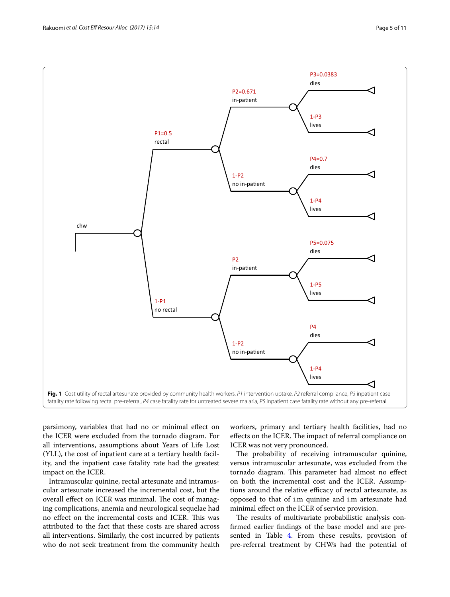

<span id="page-4-0"></span>parsimony, variables that had no or minimal efect on the ICER were excluded from the tornado diagram. For all interventions, assumptions about Years of Life Lost (YLL), the cost of inpatient care at a tertiary health facility, and the inpatient case fatality rate had the greatest impact on the ICER.

Intramuscular quinine, rectal artesunate and intramuscular artesunate increased the incremental cost, but the overall effect on ICER was minimal. The cost of managing complications, anemia and neurological sequelae had no effect on the incremental costs and ICER. This was attributed to the fact that these costs are shared across all interventions. Similarly, the cost incurred by patients who do not seek treatment from the community health workers, primary and tertiary health facilities, had no effects on the ICER. The impact of referral compliance on ICER was not very pronounced.

The probability of receiving intramuscular quinine, versus intramuscular artesunate, was excluded from the tornado diagram. This parameter had almost no effect on both the incremental cost and the ICER. Assumptions around the relative efficacy of rectal artesunate, as opposed to that of i.m quinine and i.m artesunate had minimal efect on the ICER of service provision.

The results of multivariate probabilistic analysis confrmed earlier fndings of the base model and are pre-sented in Table [4](#page-7-0). From these results, provision of pre-referral treatment by CHWs had the potential of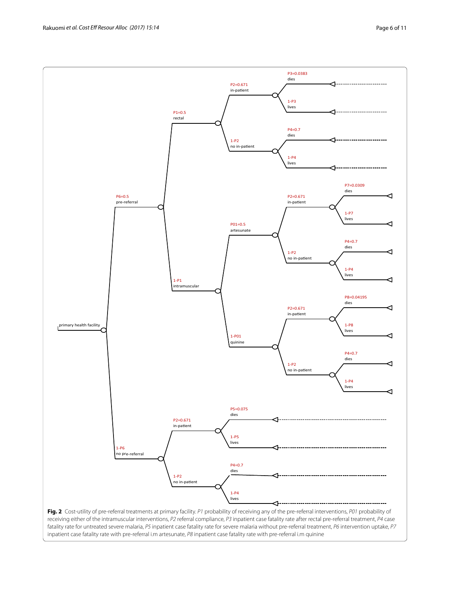Rakuomi *et al. Cost Ef Resour Alloc (2017) 15:14* Page 6 of 11



<span id="page-5-0"></span>fatality rate for untreated severe malaria, *P5* inpatient case fatality rate for severe malaria without pre-referral treatment, *P6* intervention uptake, *P7* inpatient case fatality rate with pre-referral i.m artesunate, *P8* inpatient case fatality rate with pre-referral i.m quinine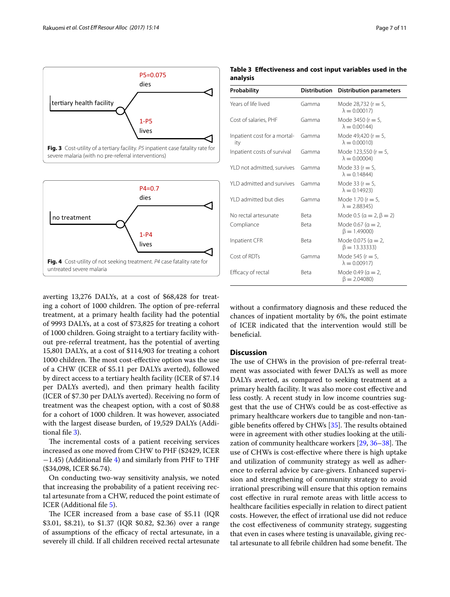

<span id="page-6-0"></span>

<span id="page-6-1"></span>averting 13,276 DALYs, at a cost of \$68,428 for treating a cohort of 1000 children. The option of pre-referral treatment, at a primary health facility had the potential of 9993 DALYs, at a cost of \$73,825 for treating a cohort of 1000 children. Going straight to a tertiary facility without pre-referral treatment, has the potential of averting 15,801 DALYs, at a cost of \$114,903 for treating a cohort 1000 children. The most cost-effective option was the use of a CHW (ICER of \$5.11 per DALYs averted), followed by direct access to a tertiary health facility (ICER of \$7.14 per DALYs averted), and then primary health facility (ICER of \$7.30 per DALYs averted). Receiving no form of treatment was the cheapest option, with a cost of \$0.88 for a cohort of 1000 children. It was however, associated with the largest disease burden, of 19,529 DALYs (Additional fle [3](#page-8-2)).

The incremental costs of a patient receiving services increased as one moved from CHW to PHF (\$2429, ICER −1.45) (Additional fle [4](#page-8-3)) and similarly from PHF to THF (\$34,098, ICER \$6.74).

On conducting two-way sensitivity analysis, we noted that increasing the probability of a patient receiving rectal artesunate from a CHW, reduced the point estimate of ICER (Additional fle [5\)](#page-8-4).

The ICER increased from a base case of \$5.11 (IQR \$3.01, \$8.21), to \$1.37 (IQR \$0.82, \$2.36) over a range of assumptions of the efficacy of rectal artesunate, in a severely ill child. If all children received rectal artesunate

<span id="page-6-2"></span>**Table 3 Efectiveness and cost input variables used in the analysis**

| Probability                         | <b>Distribution</b> | <b>Distribution parameters</b>                      |
|-------------------------------------|---------------------|-----------------------------------------------------|
| Years of life lived                 | Gamma               | Mode 28,732 ( $r = 5$ ,<br>$\lambda = 0.00017$      |
| Cost of salaries, PHF               | Gamma               | Mode 3450 ( $r = 5$ .<br>$\lambda = 0.00144$        |
| Inpatient cost for a mortal-<br>ity | Gamma               | Mode 49,420 ( $r = 5$ ,<br>$\lambda = 0.00010$      |
| Inpatient costs of survival         | Gamma               | Mode 123,550 ( $r = 5$ ,<br>$\lambda = 0.00004$     |
| YLD not admitted, survives          | Gamma               | Mode 33 ( $r = 5$ ,<br>$\lambda = 0.14844$          |
| YLD admitted and survives           | Gamma               | Mode 33 $(r = 5.$<br>$\lambda = 0.14923$            |
| YI D admitted but dies              | Gamma               | Mode 1.70 ( $r = 5$ ,<br>$\lambda = 2.88345$        |
| No rectal artesunate                | <b>Beta</b>         | Mode 0.5 ( $\alpha = 2, \beta = 2$ )                |
| Compliance                          | Beta                | Mode 0.67 ( $\alpha = 2$ ,<br>$β = 1.49000$         |
| Inpatient CFR                       | Beta                | Mode $0.075$ ( $\alpha = 2$ ,<br>$\beta = 13.33333$ |
| Cost of RDTs                        | Gamma               | Mode 545 ( $r = 5$ ,<br>$\lambda = 0.00917$         |
| Efficacy of rectal                  | Beta                | Mode 0.49 ( $\alpha = 2$ ,<br>$\beta = 2.04080$     |

without a confrmatory diagnosis and these reduced the chances of inpatient mortality by 6%, the point estimate of ICER indicated that the intervention would still be beneficial.

## **Discussion**

The use of CHWs in the provision of pre-referral treatment was associated with fewer DALYs as well as more DALYs averted, as compared to seeking treatment at a primary health facility. It was also more cost efective and less costly. A recent study in low income countries suggest that the use of CHWs could be as cost-efective as primary healthcare workers due to tangible and non-tangible benefits offered by CHWs  $[35]$  $[35]$ . The results obtained were in agreement with other studies looking at the utilization of community healthcare workers  $[29, 36-38]$  $[29, 36-38]$  $[29, 36-38]$  $[29, 36-38]$ . The use of CHWs is cost-efective where there is high uptake and utilization of community strategy as well as adherence to referral advice by care-givers. Enhanced supervision and strengthening of community strategy to avoid irrational prescribing will ensure that this option remains cost efective in rural remote areas with little access to healthcare facilities especially in relation to direct patient costs. However, the efect of irrational use did not reduce the cost efectiveness of community strategy, suggesting that even in cases where testing is unavailable, giving rectal artesunate to all febrile children had some benefit. The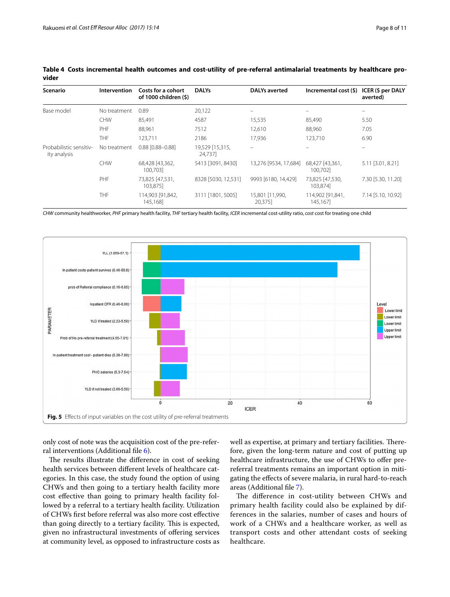| Scenario                                | Intervention | <b>Costs for a cohort</b><br>of 1000 children (\$) | <b>DALYs</b>              | <b>DALYs averted</b>       | Incremental cost (\$)        | ICER (\$ per DALY<br>averted) |
|-----------------------------------------|--------------|----------------------------------------------------|---------------------------|----------------------------|------------------------------|-------------------------------|
| Base model                              | No treatment | 0.89                                               | 20,122                    |                            | $\equiv$                     |                               |
|                                         | CHW          | 85,491                                             | 4587                      | 15,535                     | 85,490                       | 5.50                          |
|                                         | PHF          | 88.961                                             | 7512                      | 12.610                     | 88.960                       | 7.05                          |
|                                         | <b>THF</b>   | 123.711                                            | 2186                      | 17,936                     | 123.710                      | 6.90                          |
| Probabilistic sensitiv-<br>ity analysis | No treatment | $0.88$ $[0.88 - 0.88]$                             | 19,529 [15,315,<br>24,737 |                            |                              |                               |
|                                         | CHW          | 68,428 [43,362,<br>100,703]                        | 5413 [3091, 8430]         | 13,276 [9534, 17,684]      | 68,427 [43,361,<br>100,702]  | 5.11 [3.01, 8.21]             |
|                                         | <b>PHF</b>   | 73,825 [47,531,<br>103,875]                        | 8328 [5030, 12,531]       | 9993 [6180, 14,429]        | 73,825 [47,530,<br>103,874]  | 7.30 [5.30, 11.20]            |
|                                         | <b>THF</b>   | 114,903 [91,842,<br>145.1681                       | 3111 [1801, 5005]         | 15,801 [11,990,<br>20,375] | 114,902 [91,841,<br>145.1671 | 7.14 [5.10, 10.92]            |

<span id="page-7-0"></span>**Table 4 Costs incremental health outcomes and cost-utility of pre-referral antimalarial treatments by healthcare provider**

*CHW* community healthworker, *PHF* primary health facility, *THF* tertiary health facility, *ICER* incremental cost-utility ratio, *cost* cost for treating one child



<span id="page-7-1"></span>only cost of note was the acquisition cost of the pre-referral interventions (Additional fle [6](#page-8-5)).

The results illustrate the difference in cost of seeking health services between diferent levels of healthcare categories. In this case, the study found the option of using CHWs and then going to a tertiary health facility more cost efective than going to primary health facility followed by a referral to a tertiary health facility. Utilization of CHWs frst before referral was also more cost efective than going directly to a tertiary facility. This is expected, given no infrastructural investments of offering services at community level, as opposed to infrastructure costs as well as expertise, at primary and tertiary facilities. Therefore, given the long-term nature and cost of putting up healthcare infrastructure, the use of CHWs to ofer prereferral treatments remains an important option in mitigating the efects of severe malaria, in rural hard-to-reach areas (Additional fle [7\)](#page-8-6).

The difference in cost-utility between CHWs and primary health facility could also be explained by differences in the salaries, number of cases and hours of work of a CHWs and a healthcare worker, as well as transport costs and other attendant costs of seeking healthcare.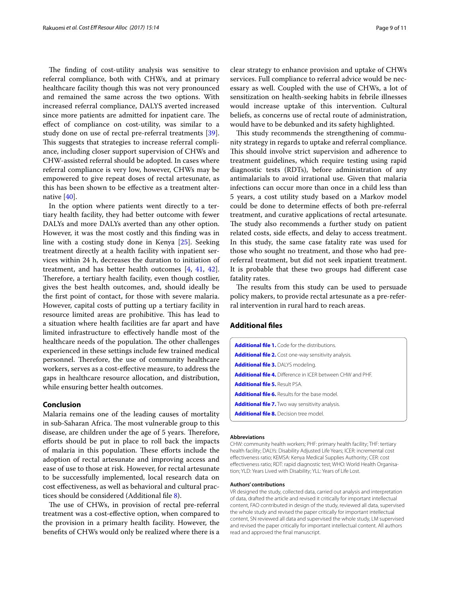The finding of cost-utility analysis was sensitive to referral compliance, both with CHWs, and at primary healthcare facility though this was not very pronounced and remained the same across the two options. With increased referral compliance, DALYS averted increased since more patients are admitted for inpatient care. The efect of compliance on cost-utility, was similar to a study done on use of rectal pre-referral treatments [\[39](#page-10-1)]. This suggests that strategies to increase referral compliance, including closer support supervision of CHWs and CHW-assisted referral should be adopted. In cases where referral compliance is very low, however, CHWs may be empowered to give repeat doses of rectal artesunate, as this has been shown to be efective as a treatment alternative [[40\]](#page-10-2).

In the option where patients went directly to a tertiary health facility, they had better outcome with fewer DALYs and more DALYs averted than any other option. However, it was the most costly and this fnding was in line with a costing study done in Kenya [[25\]](#page-9-20). Seeking treatment directly at a health facility with inpatient services within 24 h, decreases the duration to initiation of treatment, and has better health outcomes [\[4](#page-9-3), [41,](#page-10-3) [42](#page-10-4)]. Therefore, a tertiary health facility, even though costlier, gives the best health outcomes, and, should ideally be the frst point of contact, for those with severe malaria. However, capital costs of putting up a tertiary facility in resource limited areas are prohibitive. This has lead to a situation where health facilities are far apart and have limited infrastructure to efectively handle most of the healthcare needs of the population. The other challenges experienced in these settings include few trained medical personnel. Therefore, the use of community healthcare workers, serves as a cost-efective measure, to address the gaps in healthcare resource allocation, and distribution, while ensuring better health outcomes.

## **Conclusion**

Malaria remains one of the leading causes of mortality in sub-Saharan Africa. The most vulnerable group to this disease, are children under the age of 5 years. Therefore, eforts should be put in place to roll back the impacts of malaria in this population. These efforts include the adoption of rectal artesunate and improving access and ease of use to those at risk. However, for rectal artesunate to be successfully implemented, local research data on cost efectiveness, as well as behavioral and cultural practices should be considered (Additional fle [8](#page-8-7)).

The use of CHWs, in provision of rectal pre-referral treatment was a cost-efective option, when compared to the provision in a primary health facility. However, the benefts of CHWs would only be realized where there is a

clear strategy to enhance provision and uptake of CHWs services. Full compliance to referral advice would be necessary as well. Coupled with the use of CHWs, a lot of sensitization on health-seeking habits in febrile illnesses would increase uptake of this intervention. Cultural beliefs, as concerns use of rectal route of administration, would have to be debunked and its safety highlighted.

This study recommends the strengthening of community strategy in regards to uptake and referral compliance. This should involve strict supervision and adherence to treatment guidelines, which require testing using rapid diagnostic tests (RDTs), before administration of any antimalarials to avoid irrational use. Given that malaria infections can occur more than once in a child less than 5 years, a cost utility study based on a Markov model could be done to determine efects of both pre-referral treatment, and curative applications of rectal artesunate. The study also recommends a further study on patient related costs, side efects, and delay to access treatment. In this study, the same case fatality rate was used for those who sought no treatment, and those who had prereferral treatment, but did not seek inpatient treatment. It is probable that these two groups had diferent case fatality rates.

The results from this study can be used to persuade policy makers, to provide rectal artesunate as a pre-referral intervention in rural hard to reach areas.

## **Additional fles**

<span id="page-8-6"></span><span id="page-8-5"></span><span id="page-8-4"></span><span id="page-8-3"></span><span id="page-8-2"></span><span id="page-8-1"></span><span id="page-8-0"></span>

| <b>Additional file 1.</b> Code for the distributions.            |
|------------------------------------------------------------------|
| <b>Additional file 2.</b> Cost one-way sensitivity analysis.     |
| <b>Additional file 3. DALYS modeling.</b>                        |
| <b>Additional file 4.</b> Difference in ICFR between CHW and PHE |
| <b>Additional file 5. Result PSA.</b>                            |
| <b>Additional file 6.</b> Results for the base model.            |
| <b>Additional file 7.</b> Two way sensitivity analysis.          |
| <b>Additional file 8.</b> Decision tree model.                   |

#### <span id="page-8-7"></span>**Abbreviations**

CHW: community health workers; PHF: primary health facility; THF: tertiary health facility; DALYs: Disability Adjusted Life Years; ICER: incremental cost efectiveness ratio; KEMSA: Kenya Medical Supplies Authority; CER: cost efectiveness ratio; RDT: rapid diagnostic test; WHO: World Health Organisation; YLD: Years Lived with Disability; YLL: Years of Life Lost.

#### **Authors' contributions**

VR designed the study, collected data, carried out analysis and interpretation of data, drafted the article and revised it critically for important intellectual content, FAO contributed in design of the study, reviewed all data, supervised the whole study and revised the paper critically for important intellectual content, SN reviewed all data and supervised the whole study, LM supervised and revised the paper critically for important intellectual content. All authors read and approved the fnal manuscript.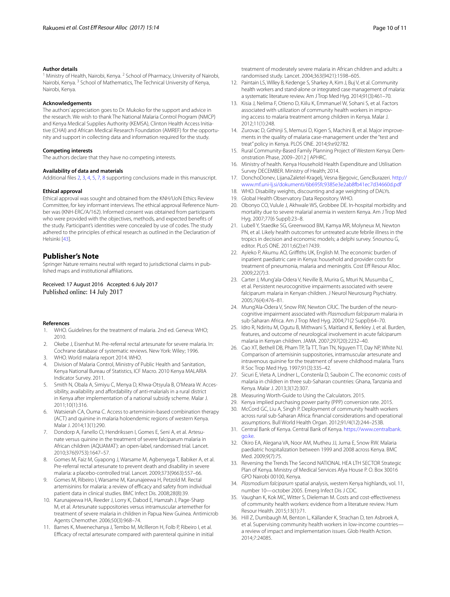#### **Author details**

<sup>1</sup> Ministry of Health, Nairobi, Kenya.<sup>2</sup> School of Pharmacy, University of Nairobi, Nairobi, Kenya. <sup>3</sup> School of Mathematics, The Technical University of Kenya, Nairobi, Kenya.

#### **Acknowledgements**

The authors' appreciation goes to Dr. Mukoko for the support and advice in the research. We wish to thank The National Malaria Control Program (NMCP) and Kenya Medical Supplies Authority (KEMSA), Clinton Health Access Initiative (CHAI) and African Medical Research Foundation (AMREF) for the opportunity and support in collecting data and information required for the study.

#### **Competing interests**

The authors declare that they have no competing interests.

#### **Availability of data and materials**

Additional fles [2](#page-8-1), [3,](#page-8-2) [4](#page-8-3), [5](#page-8-4), [7,](#page-8-6) [8](#page-8-7) supporting conclusions made in this manuscript.

#### **Ethical approval**

Ethical approval was sought and obtained from the KNH/UoN Ethics Review Committee, for key informant interviews. The ethical approval Reference Number was (KNH-ERC/A/162). Informed consent was obtained from participants who were provided with the objectives, methods, and expected benefts of the study. Participant's identities were concealed by use of codes. The study adhered to the principles of ethical research as outlined in the Declaration of Helsinki [[43\]](#page-10-5).

# **Publisher's Note**

Springer Nature remains neutral with regard to jurisdictional claims in published maps and institutional afliations.

## Received: 17 August 2016 Accepted: 6 July 2017 Published online: 14 July 2017

#### **References**

- <span id="page-9-0"></span>1. WHO. Guidelines for the treatment of malaria. 2nd ed. Geneva: WHO; 2010.
- <span id="page-9-1"></span>2. Okebe J, Eisenhut M. Pre-referral rectal artesunate for severe malaria. In: Cochrane database of systematic reviews. New York: Wiley; 1996.
- <span id="page-9-2"></span>3. WHO. World malaria report 2014. WHO.
- <span id="page-9-3"></span>4. Division of Malaria Control, Ministry of Public Health and Sanitation, Kenya National Bureau of Statistics, ICF Macro. 2010 Kenya MALARIA Indicator Survey. 2011.
- 5. Smith N, Obala A, Simiyu C, Menya D, Khwa-Otsyula B, O'Meara W. Accessibility, availability and affordability of anti-malarials in a rural district in Kenya after implementation of a national subsidy scheme. Malar J. 2011;10(1):316.
- <span id="page-9-4"></span>6. Watsierah CA, Ouma C. Access to artemisinin-based combination therapy (ACT) and quinine in malaria holoendemic regions of western Kenya. Malar J. 2014;13(1):290.
- <span id="page-9-5"></span>7. Dondorp A, Fanello CI, Hendrikssen I, Gomes E, Seni A, et al. Artesunate versus quinine in the treatment of severe falciparum malaria in African children (AQUAMAT): an open-label, randomised trial. Lancet. 2010;376(9753):1647–57.
- <span id="page-9-6"></span>8. Gomes M, Faiz M, Gyapong J, Warsame M, Agbenyega T, Babiker A, et al. Pre-referral rectal artesunate to prevent death and disability in severe malaria: a placebo-controlled trial. Lancet. 2009;373(9663):557–66.
- <span id="page-9-21"></span>9. Gomes M, Ribeiro I, Warsame M, Karunajeewa H, Petzold M. Rectal artemisinins for malaria: a review of efficacy and safety from individual patient data in clinical studies. BMC Infect Dis. 2008;28(8):39.
- <span id="page-9-23"></span>10. Karunajeewa HA, Reeder J, Lorry K, Dabod E, Hamzah J, Page-Sharp M, et al. Artesunate suppositories versus intramuscular artemether for treatment of severe malaria in children in Papua New Guinea. Antimicrob Agents Chemother. 2006;50(3):968–74.
- <span id="page-9-7"></span>11. Barnes K, Mwenechanya J, Tembo M, Mcllleron H, Folb P, Ribeiro I, et al. Efficacy of rectal artesunate compared with parenteral quinine in initial

treatment of moderately severe malaria in African children and adults: a randomised study. Lancet. 2004;363(9421):1598–605.

- <span id="page-9-8"></span>12. Paintain LS, Willey B, Kedenge S, Sharkey A, Kim J, Buj V, et al. Community health workers and stand-alone or integrated case management of malaria: a systematic literature review. Am J Trop Med Hyg. 2014;91(3):461–70.
- <span id="page-9-9"></span>13. Kisia J, Nelima F, Otieno D, Kiilu K, Emmanuel W, Sohani S, et al. Factors associated with utilization of community health workers in improving access to malaria treatment among children in Kenya. Malar J. 2012;11(1):248.
- <span id="page-9-10"></span>14. Zurovac D, Githinji S, Memusi D, Kigen S, Machini B, et al. Major improvements in the quality of malaria case-management under the "test and treat" policy in Kenya. PLOS ONE. 2014;9:e92782.
- <span id="page-9-11"></span>15. Rural Community-Based Family Planning Project of Western Kenya: Demonstration Phase, 2009–2012 | APHRC.
- <span id="page-9-12"></span>16. Ministry of health. Kenya Household Health Expenditure and Utilisation Survey DECEMBER. Ministry of Health; 2014.
- <span id="page-9-13"></span>17. DonchoDonev, LijanaZaletel-Kragelj, Vesna Bjegovic, GencBurazeri. [http://](http://www.mf.uni-lj.si/dokumenti/6b695fc9385e3e2ab8fb41ec7d34660d.pdf) [www.mf.uni-lj.si/dokumenti/6b695fc9385e3e2ab8fb41ec7d34660d.pdf](http://www.mf.uni-lj.si/dokumenti/6b695fc9385e3e2ab8fb41ec7d34660d.pdf)
- <span id="page-9-14"></span>18. WHO. Disability weights, discounting and age weighting of DALYs.
- <span id="page-9-15"></span>19. Global Health Observatory Data Repository. WHO.
- <span id="page-9-16"></span>20. Obonyo CO, Vulule J, Akhwale WS, Grobbee DE. In-hospital morbidity and mortality due to severe malarial anemia in western Kenya. Am J Trop Med Hyg. 2007;77(6 Suppl):23–8.
- <span id="page-9-17"></span>21. Lubell Y, Staedke SG, Greenwood BM, Kamya MR, Molyneux M, Newton PN, et al. Likely health outcomes for untreated acute febrile illness in the tropics in decision and economic models; a delphi survey. Snounou G, editor. PLoS ONE. 2011;6(2):e17439.
- <span id="page-9-18"></span>22. Ayieko P, Akumu AO, Griffiths UK, English M. The economic burden of inpatient paediatric care in Kenya: household and provider costs for treatment of pneumonia, malaria and meningitis. Cost Eff Resour Alloc. 2009;22(7):3.
- <span id="page-9-19"></span>23. Carter J, Mung'ala-Odera V, Neville B, Murira G, Mturi N, Musumba C, et al. Persistent neurocognitive impairments associated with severe falciparum malaria in Kenyan children. J Neurol Neurosurg Psychiatry. 2005;76(4):476–81.
- <span id="page-9-24"></span>24. Mung'Ala-Odera V, Snow RW, Newton CRJC. The burden of the neurocognitive impairment associated with *Plasmodium falciparum* malaria in sub-Saharan Africa. Am J Trop Med Hyg. 2004;71(2 Suppl):64–70.
- <span id="page-9-20"></span>25. Idro R, Ndiritu M, Ogutu B, Mithwani S, Maitland K, Berkley J, et al. Burden, features, and outcome of neurological involvement in acute falciparum malaria in Kenyan children. JAMA. 2007;297(20):2232–40.
- <span id="page-9-22"></span>26. Cao XT, Bethell DB, Pham TP, Ta TT, Tran TN, Nguyen TT, Day NP, White NJ. Comparison of artemisinin suppositories, intramuscular artesunate and intravenous quinine for the treatment of severe childhood malaria. Trans R Soc Trop Med Hyg. 1997;91(3):335–42.
- <span id="page-9-25"></span>27. Sicuri E, Vieta A, Lindner L, Constenla D, Sauboin C. The economic costs of malaria in children in three sub-Saharan countries: Ghana, Tanzania and Kenya. Malar J. 2013;3(12):307.
- <span id="page-9-26"></span>28. Measuring Worth-Guide to Using the Calculators. 2015.
- <span id="page-9-27"></span>29. Kenya implied purchasing power parity (PPP) conversion rate. 2015.
- <span id="page-9-28"></span>30. McCord GC, Liu A, Singh P. Deployment of community health workers across rural sub-Saharan Africa: fnancial considerations and operational assumptions. Bull World Health Organ. 2012;91/4(12):244–253B.
- <span id="page-9-29"></span>31. Central Bank of Kenya. Central Bank of Kenya. [https://www.centralbank.](https://www.centralbank.go.ke) [go.ke.](https://www.centralbank.go.ke)
- <span id="page-9-30"></span>32. Okiro EA, Alegana VA, Noor AM, Mutheu JJ, Juma E, Snow RW. Malaria paediatric hospitalization between 1999 and 2008 across Kenya. BMC Med. 2009;9(7):75.
- <span id="page-9-31"></span>33. Reversing the Trends The Second NATIONAL HEA LTH SECTOR Strategic Plan of Kenya. Ministry of Medical Services Afya House P. O. Box 30016 GPO Nairobi 00100, Kenya.
- <span id="page-9-32"></span>34. *Plasmodium falciparum* spatial analysis, western Kenya highlands, vol. 11, number 10—october 2005. Emerg Infect Dis J CDC.
- <span id="page-9-33"></span>35. Vaughan K, Kok MC, Witter S, Dieleman M. Costs and cost-efectiveness of community health workers: evidence from a literature review. Hum Resour Health. 2015;13(1):71.
- <span id="page-9-34"></span>36. Hill Z, Dumbaugh M, Benton L, Källander K, Strachan D, ten Asbroek A, et al. Supervising community health workers in low-income countries a review of impact and implementation issues. Glob Health Action. 2014;7:24085.